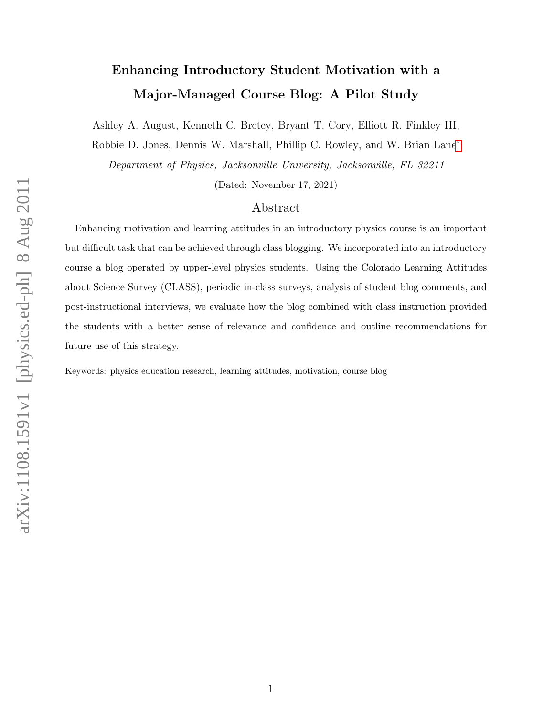# Enhancing Introductory Student Motivation with a Major-Managed Course Blog: A Pilot Study

Ashley A. August, Kenneth C. Bretey, Bryant T. Cory, Elliott R. Finkley III,

Robbie D. Jones, Dennis W. Marshall, Phillip C. Rowley, and W. Brian Lane[∗](#page-16-0)

Department of Physics, Jacksonville University, Jacksonville, FL 32211

(Dated: November 17, 2021)

#### Abstract

Enhancing motivation and learning attitudes in an introductory physics course is an important but difficult task that can be achieved through class blogging. We incorporated into an introductory course a blog operated by upper-level physics students. Using the Colorado Learning Attitudes about Science Survey (CLASS), periodic in-class surveys, analysis of student blog comments, and post-instructional interviews, we evaluate how the blog combined with class instruction provided the students with a better sense of relevance and confidence and outline recommendations for future use of this strategy.

Keywords: physics education research, learning attitudes, motivation, course blog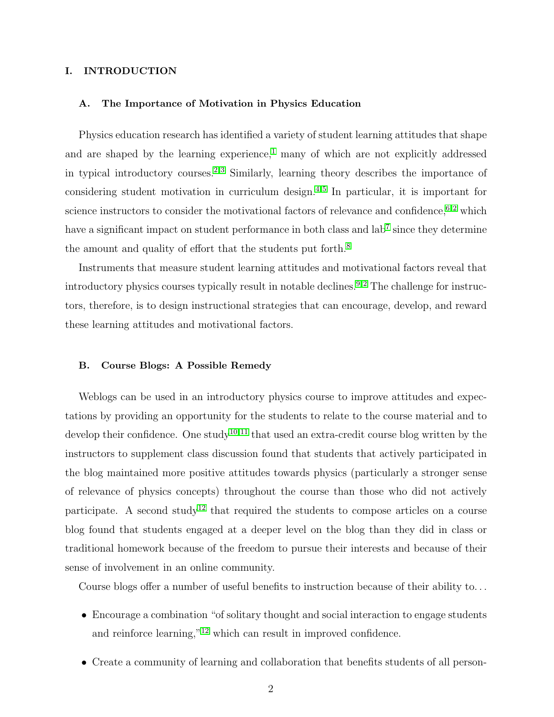#### I. INTRODUCTION

#### A. The Importance of Motivation in Physics Education

Physics education research has identified a variety of student learning attitudes that shape and are shaped by the learning experience,<sup>[1](#page-16-1)</sup> many of which are not explicitly addressed in typical introductory courses.<sup>[2,](#page-16-2)[3](#page-16-3)</sup> Similarly, learning theory describes the importance of considering student motivation in curriculum design.[4](#page-16-4)[,5](#page-16-5) In particular, it is important for science instructors to consider the motivational factors of relevance and confidence,  $6,2$  $6,2$  which have a significant impact on student performance in both class and lab<sup>[7](#page-16-7)</sup> since they determine the amount and quality of effort that the students put forth.<sup>[8](#page-16-8)</sup>

Instruments that measure student learning attitudes and motivational factors reveal that introductory physics courses typically result in notable declines.<sup>[9](#page-16-9)[,2](#page-16-2)</sup> The challenge for instructors, therefore, is to design instructional strategies that can encourage, develop, and reward these learning attitudes and motivational factors.

#### B. Course Blogs: A Possible Remedy

Weblogs can be used in an introductory physics course to improve attitudes and expectations by providing an opportunity for the students to relate to the course material and to develop their confidence. One study<sup>[10](#page-17-0)[,11](#page-17-1)</sup> that used an extra-credit course blog written by the instructors to supplement class discussion found that students that actively participated in the blog maintained more positive attitudes towards physics (particularly a stronger sense of relevance of physics concepts) throughout the course than those who did not actively participate. A second study<sup>[12](#page-17-2)</sup> that required the students to compose articles on a course blog found that students engaged at a deeper level on the blog than they did in class or traditional homework because of the freedom to pursue their interests and because of their sense of involvement in an online community.

Course blogs offer a number of useful benefits to instruction because of their ability to. . .

- Encourage a combination "of solitary thought and social interaction to engage students and reinforce learning,"[12](#page-17-2) which can result in improved confidence.
- Create a community of learning and collaboration that benefits students of all person-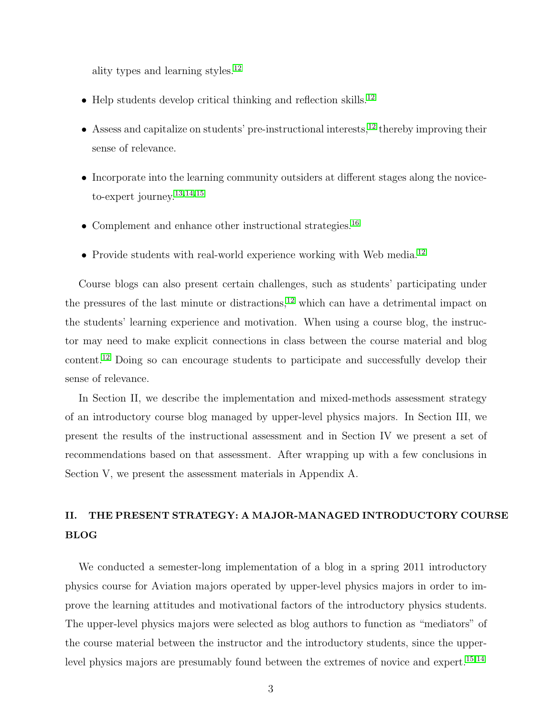ality types and learning styles.[12](#page-17-2)

- $\bullet$  Help students develop critical thinking and reflection skills.<sup>[12](#page-17-2)</sup>
- Assess and capitalize on students' pre-instructional interests, $^{12}$  $^{12}$  $^{12}$  thereby improving their sense of relevance.
- Incorporate into the learning community outsiders at different stages along the noviceto-expert journey.[13,](#page-17-3)[14,](#page-17-4)[15](#page-17-5)
- Complement and enhance other instructional strategies.<sup>[16](#page-17-6)</sup>
- Provide students with real-world experience working with Web media.<sup>[12](#page-17-2)</sup>

Course blogs can also present certain challenges, such as students' participating under the pressures of the last minute or distractions,<sup>[12](#page-17-2)</sup> which can have a detrimental impact on the students' learning experience and motivation. When using a course blog, the instructor may need to make explicit connections in class between the course material and blog content.[12](#page-17-2) Doing so can encourage students to participate and successfully develop their sense of relevance.

In Section II, we describe the implementation and mixed-methods assessment strategy of an introductory course blog managed by upper-level physics majors. In Section III, we present the results of the instructional assessment and in Section IV we present a set of recommendations based on that assessment. After wrapping up with a few conclusions in Section V, we present the assessment materials in Appendix A.

## II. THE PRESENT STRATEGY: A MAJOR-MANAGED INTRODUCTORY COURSE BLOG

We conducted a semester-long implementation of a blog in a spring 2011 introductory physics course for Aviation majors operated by upper-level physics majors in order to improve the learning attitudes and motivational factors of the introductory physics students. The upper-level physics majors were selected as blog authors to function as "mediators" of the course material between the instructor and the introductory students, since the upper-level physics majors are presumably found between the extremes of novice and expert.<sup>[15,](#page-17-5)[14](#page-17-4)</sup>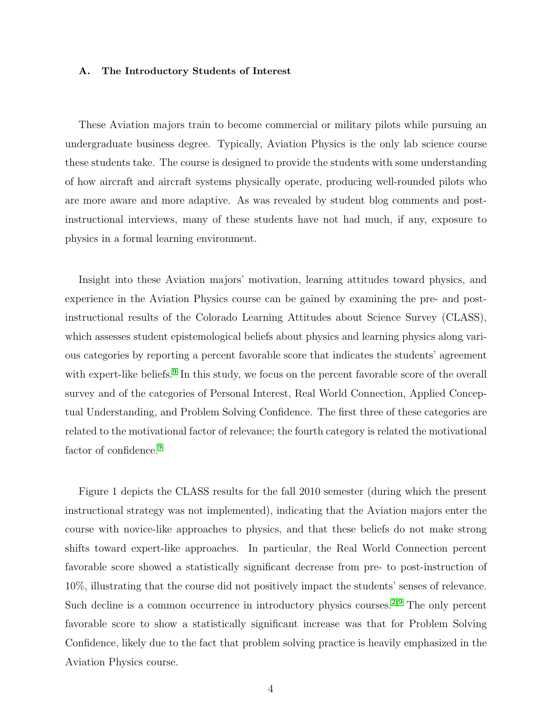#### A. The Introductory Students of Interest

These Aviation majors train to become commercial or military pilots while pursuing an undergraduate business degree. Typically, Aviation Physics is the only lab science course these students take. The course is designed to provide the students with some understanding of how aircraft and aircraft systems physically operate, producing well-rounded pilots who are more aware and more adaptive. As was revealed by student blog comments and postinstructional interviews, many of these students have not had much, if any, exposure to physics in a formal learning environment.

Insight into these Aviation majors' motivation, learning attitudes toward physics, and experience in the Aviation Physics course can be gained by examining the pre- and postinstructional results of the Colorado Learning Attitudes about Science Survey (CLASS), which assesses student epistemological beliefs about physics and learning physics along various categories by reporting a percent favorable score that indicates the students' agreement with expert-like beliefs.<sup>[9](#page-16-9)</sup> In this study, we focus on the percent favorable score of the overall survey and of the categories of Personal Interest, Real World Connection, Applied Conceptual Understanding, and Problem Solving Confidence. The first three of these categories are related to the motivational factor of relevance; the fourth category is related the motivational factor of confidence.<sup>[9](#page-16-9)</sup>

Figure 1 depicts the CLASS results for the fall 2010 semester (during which the present instructional strategy was not implemented), indicating that the Aviation majors enter the course with novice-like approaches to physics, and that these beliefs do not make strong shifts toward expert-like approaches. In particular, the Real World Connection percent favorable score showed a statistically significant decrease from pre- to post-instruction of 10%, illustrating that the course did not positively impact the students' senses of relevance. Such decline is a common occurrence in introductory physics courses.<sup>[2](#page-16-2)[,9](#page-16-9)</sup> The only percent favorable score to show a statistically significant increase was that for Problem Solving Confidence, likely due to the fact that problem solving practice is heavily emphasized in the Aviation Physics course.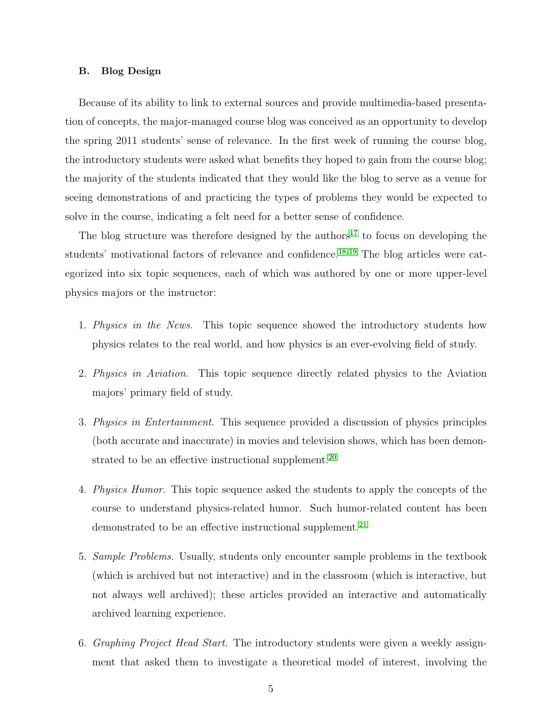#### B. Blog Design

Because of its ability to link to external sources and provide multimedia-based presentation of concepts, the major-managed course blog was conceived as an opportunity to develop the spring 2011 students' sense of relevance. In the first week of running the course blog, the introductory students were asked what benefits they hoped to gain from the course blog; the majority of the students indicated that they would like the blog to serve as a venue for seeing demonstrations of and practicing the types of problems they would be expected to solve in the course, indicating a felt need for a better sense of confidence.

The blog structure was therefore designed by the authors<sup>[17](#page-17-7)</sup> to focus on developing the students' motivational factors of relevance and confidence.<sup>[18,](#page-17-8)[19](#page-17-9)</sup> The blog articles were categorized into six topic sequences, each of which was authored by one or more upper-level physics majors or the instructor:

- 1. Physics in the News. This topic sequence showed the introductory students how physics relates to the real world, and how physics is an ever-evolving field of study.
- 2. Physics in Aviation. This topic sequence directly related physics to the Aviation majors' primary field of study.
- 3. Physics in Entertainment. This sequence provided a discussion of physics principles (both accurate and inaccurate) in movies and television shows, which has been demon-strated to be an effective instructional supplement.<sup>[20](#page-17-10)</sup>
- 4. Physics Humor. This topic sequence asked the students to apply the concepts of the course to understand physics-related humor. Such humor-related content has been demonstrated to be an effective instructional supplement.<sup>[21](#page-17-11)</sup>
- 5. Sample Problems. Usually, students only encounter sample problems in the textbook (which is archived but not interactive) and in the classroom (which is interactive, but not always well archived); these articles provided an interactive and automatically archived learning experience.
- 6. Graphing Project Head Start. The introductory students were given a weekly assignment that asked them to investigate a theoretical model of interest, involving the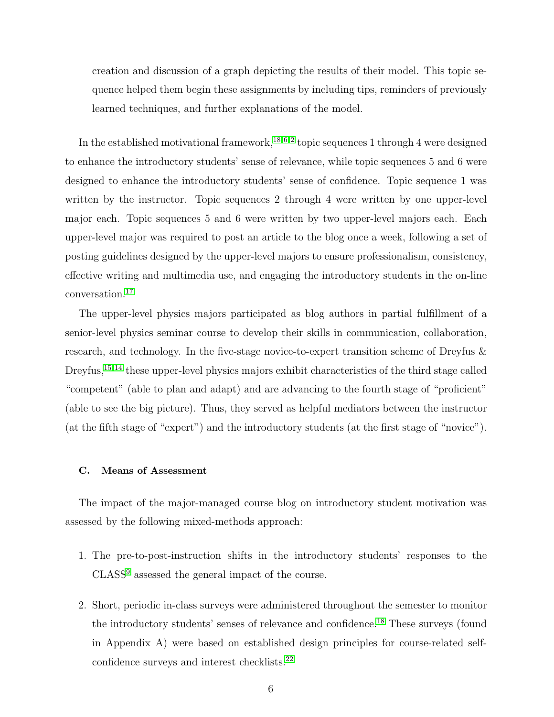creation and discussion of a graph depicting the results of their model. This topic sequence helped them begin these assignments by including tips, reminders of previously learned techniques, and further explanations of the model.

In the established motivational framework,<sup>[18,](#page-17-8)[6](#page-16-6)[,2](#page-16-2)</sup> topic sequences 1 through 4 were designed to enhance the introductory students' sense of relevance, while topic sequences 5 and 6 were designed to enhance the introductory students' sense of confidence. Topic sequence 1 was written by the instructor. Topic sequences 2 through 4 were written by one upper-level major each. Topic sequences 5 and 6 were written by two upper-level majors each. Each upper-level major was required to post an article to the blog once a week, following a set of posting guidelines designed by the upper-level majors to ensure professionalism, consistency, effective writing and multimedia use, and engaging the introductory students in the on-line conversation.[17](#page-17-7)

The upper-level physics majors participated as blog authors in partial fulfillment of a senior-level physics seminar course to develop their skills in communication, collaboration, research, and technology. In the five-stage novice-to-expert transition scheme of Dreyfus & Dreyfus,<sup>[15,](#page-17-5)[14](#page-17-4)</sup> these upper-level physics majors exhibit characteristics of the third stage called "competent" (able to plan and adapt) and are advancing to the fourth stage of "proficient" (able to see the big picture). Thus, they served as helpful mediators between the instructor (at the fifth stage of "expert") and the introductory students (at the first stage of "novice").

#### C. Means of Assessment

The impact of the major-managed course blog on introductory student motivation was assessed by the following mixed-methods approach:

- 1. The pre-to-post-instruction shifts in the introductory students' responses to the CLASS[9](#page-16-9) assessed the general impact of the course.
- 2. Short, periodic in-class surveys were administered throughout the semester to monitor the introductory students' senses of relevance and confidence.[18](#page-17-8) These surveys (found in Appendix A) were based on established design principles for course-related self-confidence surveys and interest checklists.<sup>[22](#page-17-12)</sup>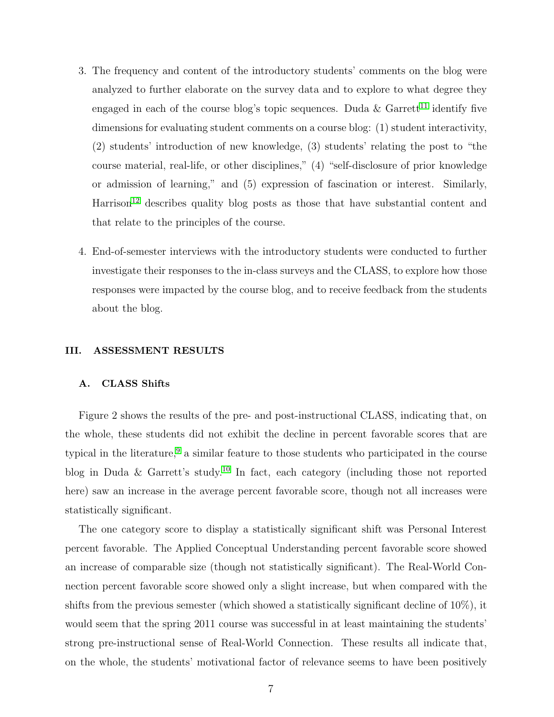- 3. The frequency and content of the introductory students' comments on the blog were analyzed to further elaborate on the survey data and to explore to what degree they engaged in each of the course blog's topic sequences. Duda  $\&$  Garrett<sup>[11](#page-17-1)</sup> identify five dimensions for evaluating student comments on a course blog: (1) student interactivity, (2) students' introduction of new knowledge, (3) students' relating the post to "the course material, real-life, or other disciplines," (4) "self-disclosure of prior knowledge or admission of learning," and (5) expression of fascination or interest. Similarly,  $Harrison<sup>12</sup>$  $Harrison<sup>12</sup>$  $Harrison<sup>12</sup>$  describes quality blog posts as those that have substantial content and that relate to the principles of the course.
- 4. End-of-semester interviews with the introductory students were conducted to further investigate their responses to the in-class surveys and the CLASS, to explore how those responses were impacted by the course blog, and to receive feedback from the students about the blog.

#### III. ASSESSMENT RESULTS

#### A. CLASS Shifts

Figure 2 shows the results of the pre- and post-instructional CLASS, indicating that, on the whole, these students did not exhibit the decline in percent favorable scores that are typical in the literature,<sup>[9](#page-16-9)</sup> a similar feature to those students who participated in the course blog in Duda & Garrett's study.[10](#page-17-0) In fact, each category (including those not reported here) saw an increase in the average percent favorable score, though not all increases were statistically significant.

The one category score to display a statistically significant shift was Personal Interest percent favorable. The Applied Conceptual Understanding percent favorable score showed an increase of comparable size (though not statistically significant). The Real-World Connection percent favorable score showed only a slight increase, but when compared with the shifts from the previous semester (which showed a statistically significant decline of 10%), it would seem that the spring 2011 course was successful in at least maintaining the students' strong pre-instructional sense of Real-World Connection. These results all indicate that, on the whole, the students' motivational factor of relevance seems to have been positively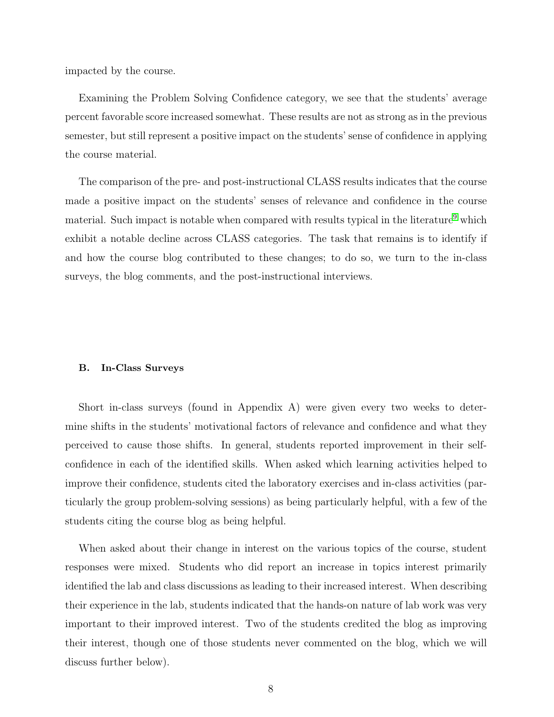impacted by the course.

Examining the Problem Solving Confidence category, we see that the students' average percent favorable score increased somewhat. These results are not as strong as in the previous semester, but still represent a positive impact on the students' sense of confidence in applying the course material.

The comparison of the pre- and post-instructional CLASS results indicates that the course made a positive impact on the students' senses of relevance and confidence in the course material. Such impact is notable when compared with results typical in the literature<sup>[9](#page-16-9)</sup> which exhibit a notable decline across CLASS categories. The task that remains is to identify if and how the course blog contributed to these changes; to do so, we turn to the in-class surveys, the blog comments, and the post-instructional interviews.

#### B. In-Class Surveys

Short in-class surveys (found in Appendix A) were given every two weeks to determine shifts in the students' motivational factors of relevance and confidence and what they perceived to cause those shifts. In general, students reported improvement in their selfconfidence in each of the identified skills. When asked which learning activities helped to improve their confidence, students cited the laboratory exercises and in-class activities (particularly the group problem-solving sessions) as being particularly helpful, with a few of the students citing the course blog as being helpful.

When asked about their change in interest on the various topics of the course, student responses were mixed. Students who did report an increase in topics interest primarily identified the lab and class discussions as leading to their increased interest. When describing their experience in the lab, students indicated that the hands-on nature of lab work was very important to their improved interest. Two of the students credited the blog as improving their interest, though one of those students never commented on the blog, which we will discuss further below).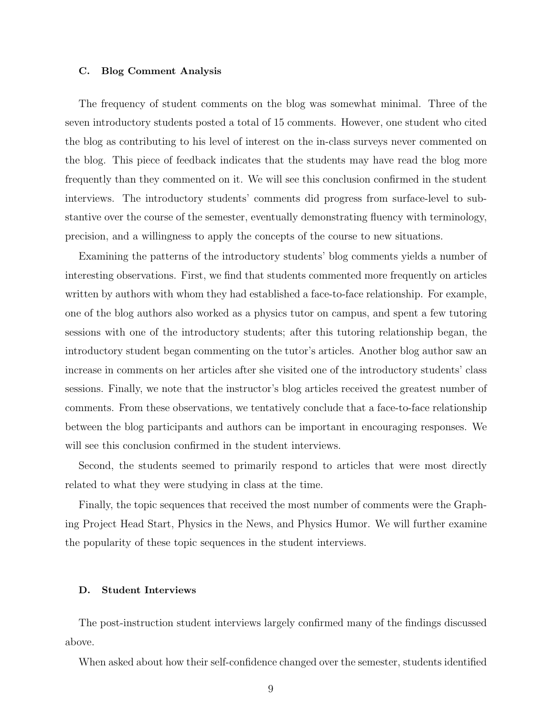#### C. Blog Comment Analysis

The frequency of student comments on the blog was somewhat minimal. Three of the seven introductory students posted a total of 15 comments. However, one student who cited the blog as contributing to his level of interest on the in-class surveys never commented on the blog. This piece of feedback indicates that the students may have read the blog more frequently than they commented on it. We will see this conclusion confirmed in the student interviews. The introductory students' comments did progress from surface-level to substantive over the course of the semester, eventually demonstrating fluency with terminology, precision, and a willingness to apply the concepts of the course to new situations.

Examining the patterns of the introductory students' blog comments yields a number of interesting observations. First, we find that students commented more frequently on articles written by authors with whom they had established a face-to-face relationship. For example, one of the blog authors also worked as a physics tutor on campus, and spent a few tutoring sessions with one of the introductory students; after this tutoring relationship began, the introductory student began commenting on the tutor's articles. Another blog author saw an increase in comments on her articles after she visited one of the introductory students' class sessions. Finally, we note that the instructor's blog articles received the greatest number of comments. From these observations, we tentatively conclude that a face-to-face relationship between the blog participants and authors can be important in encouraging responses. We will see this conclusion confirmed in the student interviews.

Second, the students seemed to primarily respond to articles that were most directly related to what they were studying in class at the time.

Finally, the topic sequences that received the most number of comments were the Graphing Project Head Start, Physics in the News, and Physics Humor. We will further examine the popularity of these topic sequences in the student interviews.

#### D. Student Interviews

The post-instruction student interviews largely confirmed many of the findings discussed above.

When asked about how their self-confidence changed over the semester, students identified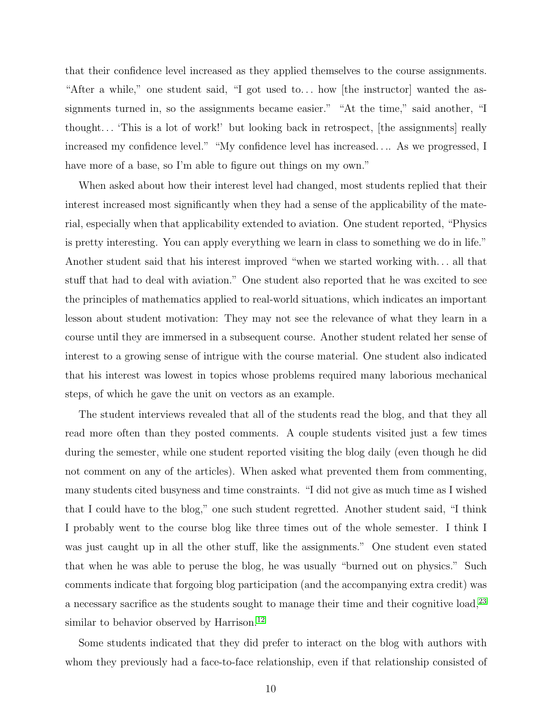that their confidence level increased as they applied themselves to the course assignments. "After a while," one student said, "I got used to... how [the instructor] wanted the assignments turned in, so the assignments became easier." "At the time," said another, "I thought. . . 'This is a lot of work!' but looking back in retrospect, [the assignments] really increased my confidence level." "My confidence level has increased. . .. As we progressed, I have more of a base, so I'm able to figure out things on my own."

When asked about how their interest level had changed, most students replied that their interest increased most significantly when they had a sense of the applicability of the material, especially when that applicability extended to aviation. One student reported, "Physics is pretty interesting. You can apply everything we learn in class to something we do in life." Another student said that his interest improved "when we started working with. . . all that stuff that had to deal with aviation." One student also reported that he was excited to see the principles of mathematics applied to real-world situations, which indicates an important lesson about student motivation: They may not see the relevance of what they learn in a course until they are immersed in a subsequent course. Another student related her sense of interest to a growing sense of intrigue with the course material. One student also indicated that his interest was lowest in topics whose problems required many laborious mechanical steps, of which he gave the unit on vectors as an example.

The student interviews revealed that all of the students read the blog, and that they all read more often than they posted comments. A couple students visited just a few times during the semester, while one student reported visiting the blog daily (even though he did not comment on any of the articles). When asked what prevented them from commenting, many students cited busyness and time constraints. "I did not give as much time as I wished that I could have to the blog," one such student regretted. Another student said, "I think I probably went to the course blog like three times out of the whole semester. I think I was just caught up in all the other stuff, like the assignments." One student even stated that when he was able to peruse the blog, he was usually "burned out on physics." Such comments indicate that forgoing blog participation (and the accompanying extra credit) was a necessary sacrifice as the students sought to manage their time and their cognitive load,<sup>[23](#page-18-0)</sup> similar to behavior observed by Harrison.<sup>[12](#page-17-2)</sup>

Some students indicated that they did prefer to interact on the blog with authors with whom they previously had a face-to-face relationship, even if that relationship consisted of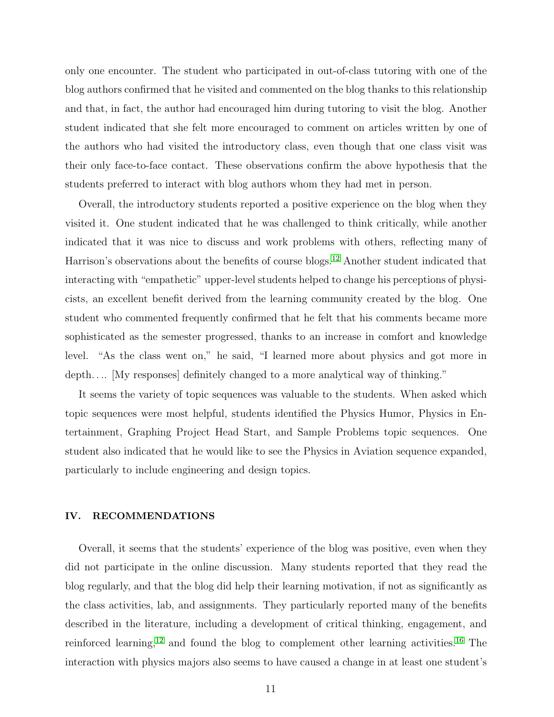only one encounter. The student who participated in out-of-class tutoring with one of the blog authors confirmed that he visited and commented on the blog thanks to this relationship and that, in fact, the author had encouraged him during tutoring to visit the blog. Another student indicated that she felt more encouraged to comment on articles written by one of the authors who had visited the introductory class, even though that one class visit was their only face-to-face contact. These observations confirm the above hypothesis that the students preferred to interact with blog authors whom they had met in person.

Overall, the introductory students reported a positive experience on the blog when they visited it. One student indicated that he was challenged to think critically, while another indicated that it was nice to discuss and work problems with others, reflecting many of Harrison's observations about the benefits of course blogs.[12](#page-17-2) Another student indicated that interacting with "empathetic" upper-level students helped to change his perceptions of physicists, an excellent benefit derived from the learning community created by the blog. One student who commented frequently confirmed that he felt that his comments became more sophisticated as the semester progressed, thanks to an increase in comfort and knowledge level. "As the class went on," he said, "I learned more about physics and got more in depth.... [My responses] definitely changed to a more analytical way of thinking."

It seems the variety of topic sequences was valuable to the students. When asked which topic sequences were most helpful, students identified the Physics Humor, Physics in Entertainment, Graphing Project Head Start, and Sample Problems topic sequences. One student also indicated that he would like to see the Physics in Aviation sequence expanded, particularly to include engineering and design topics.

#### IV. RECOMMENDATIONS

Overall, it seems that the students' experience of the blog was positive, even when they did not participate in the online discussion. Many students reported that they read the blog regularly, and that the blog did help their learning motivation, if not as significantly as the class activities, lab, and assignments. They particularly reported many of the benefits described in the literature, including a development of critical thinking, engagement, and reinforced learning,<sup>[12](#page-17-2)</sup> and found the blog to complement other learning activities.<sup>[16](#page-17-6)</sup> The interaction with physics majors also seems to have caused a change in at least one student's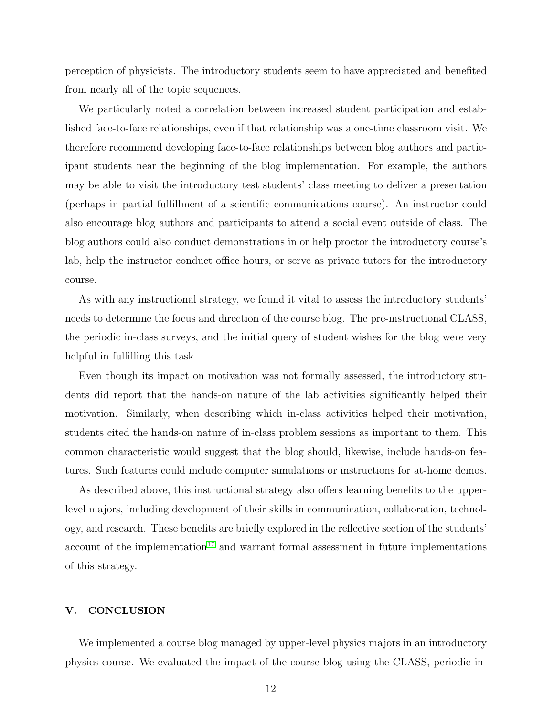perception of physicists. The introductory students seem to have appreciated and benefited from nearly all of the topic sequences.

We particularly noted a correlation between increased student participation and established face-to-face relationships, even if that relationship was a one-time classroom visit. We therefore recommend developing face-to-face relationships between blog authors and participant students near the beginning of the blog implementation. For example, the authors may be able to visit the introductory test students' class meeting to deliver a presentation (perhaps in partial fulfillment of a scientific communications course). An instructor could also encourage blog authors and participants to attend a social event outside of class. The blog authors could also conduct demonstrations in or help proctor the introductory course's lab, help the instructor conduct office hours, or serve as private tutors for the introductory course.

As with any instructional strategy, we found it vital to assess the introductory students' needs to determine the focus and direction of the course blog. The pre-instructional CLASS, the periodic in-class surveys, and the initial query of student wishes for the blog were very helpful in fulfilling this task.

Even though its impact on motivation was not formally assessed, the introductory students did report that the hands-on nature of the lab activities significantly helped their motivation. Similarly, when describing which in-class activities helped their motivation, students cited the hands-on nature of in-class problem sessions as important to them. This common characteristic would suggest that the blog should, likewise, include hands-on features. Such features could include computer simulations or instructions for at-home demos.

As described above, this instructional strategy also offers learning benefits to the upperlevel majors, including development of their skills in communication, collaboration, technology, and research. These benefits are briefly explored in the reflective section of the students' account of the implementation<sup>[17](#page-17-7)</sup> and warrant formal assessment in future implementations of this strategy.

#### V. CONCLUSION

We implemented a course blog managed by upper-level physics majors in an introductory physics course. We evaluated the impact of the course blog using the CLASS, periodic in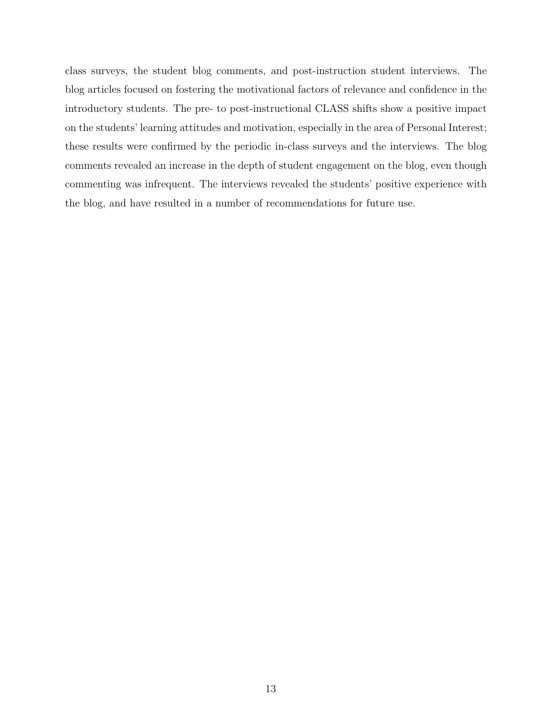class surveys, the student blog comments, and post-instruction student interviews. The blog articles focused on fostering the motivational factors of relevance and confidence in the introductory students. The pre- to post-instructional CLASS shifts show a positive impact on the students' learning attitudes and motivation, especially in the area of Personal Interest; these results were confirmed by the periodic in-class surveys and the interviews. The blog comments revealed an increase in the depth of student engagement on the blog, even though commenting was infrequent. The interviews revealed the students' positive experience with the blog, and have resulted in a number of recommendations for future use.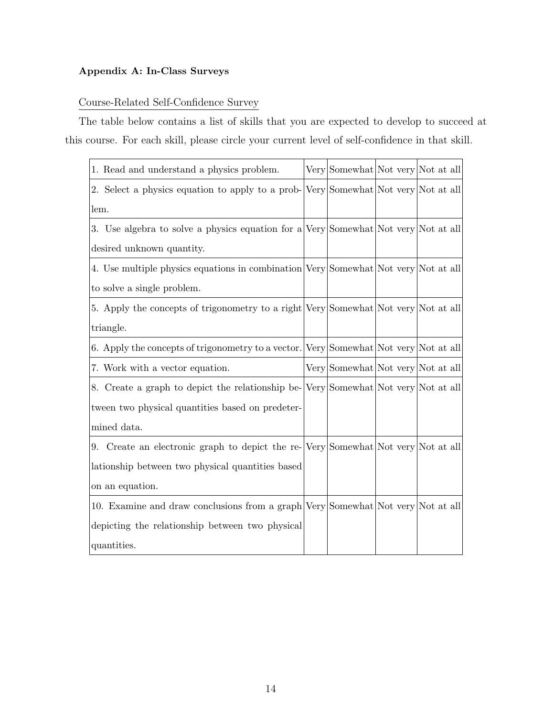## Appendix A: In-Class Surveys

## Course-Related Self-Confidence Survey

The table below contains a list of skills that you are expected to develop to succeed at this course. For each skill, please circle your current level of self-confidence in that skill.

| 1. Read and understand a physics problem.                                            | Very Somewhat Not very Not at all |  |  |  |
|--------------------------------------------------------------------------------------|-----------------------------------|--|--|--|
| 2. Select a physics equation to apply to a prob- Very Somewhat Not very Not at all   |                                   |  |  |  |
| lem.                                                                                 |                                   |  |  |  |
| 3. Use algebra to solve a physics equation for a Very Somewhat Not very Not at all   |                                   |  |  |  |
| desired unknown quantity.                                                            |                                   |  |  |  |
| 4. Use multiple physics equations in combination Very Somewhat Not very Not at all   |                                   |  |  |  |
| to solve a single problem.                                                           |                                   |  |  |  |
| 5. Apply the concepts of trigonometry to a right Very Somewhat Not very Not at all   |                                   |  |  |  |
| triangle.                                                                            |                                   |  |  |  |
| 6. Apply the concepts of trigonometry to a vector. Very Somewhat Not very Not at all |                                   |  |  |  |
| 7. Work with a vector equation.                                                      | Very Somewhat Not very Not at all |  |  |  |
| 8. Create a graph to depict the relationship be-Very Somewhat Not very Not at all    |                                   |  |  |  |
| tween two physical quantities based on predeter-                                     |                                   |  |  |  |
| mined data.                                                                          |                                   |  |  |  |
| 9. Create an electronic graph to depict the re-Very Somewhat Not very Not at all     |                                   |  |  |  |
| lationship between two physical quantities based                                     |                                   |  |  |  |
| on an equation.                                                                      |                                   |  |  |  |
| 10. Examine and draw conclusions from a graph Very Somewhat Not very Not at all      |                                   |  |  |  |
| depicting the relationship between two physical                                      |                                   |  |  |  |
| quantities.                                                                          |                                   |  |  |  |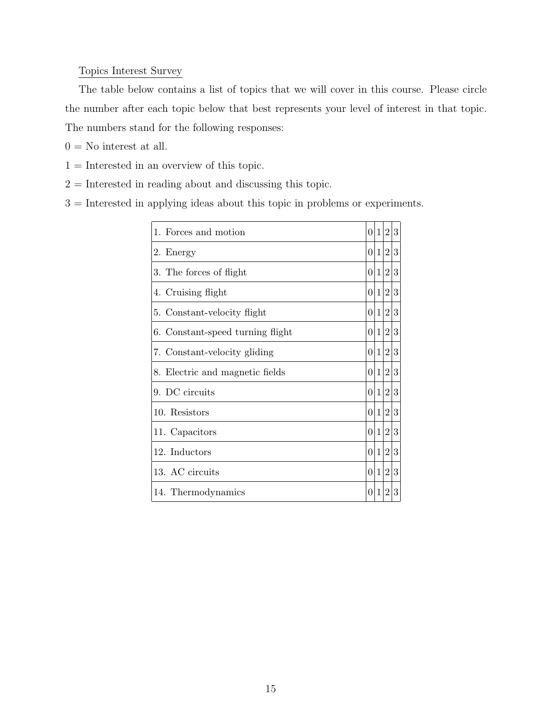### Topics Interest Survey

The table below contains a list of topics that we will cover in this course. Please circle the number after each topic below that best represents your level of interest in that topic. The numbers stand for the following responses:

- $0 =$  No interest at all.
- $1 =$ Interested in an overview of this topic.
- $2 =$  Interested in reading about and discussing this topic.

3 = Interested in applying ideas about this topic in problems or experiments.

| 1. Forces and motion             | $\overline{0}$ | $ 1\rangle$ | 2 3 |  |
|----------------------------------|----------------|-------------|-----|--|
| 2. Energy                        | $\Omega$       | $ 1\rangle$ | 2 3 |  |
| 3. The forces of flight          |                | 0 1         | 2 3 |  |
| 4. Cruising flight               | $\Omega$       | $ 1\rangle$ | 2 3 |  |
| 5. Constant-velocity flight      | $\Omega$       | $ 1\rangle$ | 2 3 |  |
| 6. Constant-speed turning flight |                | 0 1         | 2 3 |  |
| 7. Constant-velocity gliding     | $\Omega$       | $ 1\rangle$ | 2 3 |  |
| 8. Electric and magnetic fields  |                | 0 1         | 2 3 |  |
| 9. DC circuits                   |                | 0 1         | 2 3 |  |
| 10. Resistors                    | $\overline{0}$ | $ 1\rangle$ | 2 3 |  |
| 11. Capacitors                   | 0 1            |             | 2 3 |  |
| 12. Inductors                    | 0 1            |             | 2 3 |  |
| 13. AC circuits                  | $\overline{0}$ | $ 1\rangle$ | 2 3 |  |
| 14. Thermodynamics               | $\Omega$       | 1           | 2 3 |  |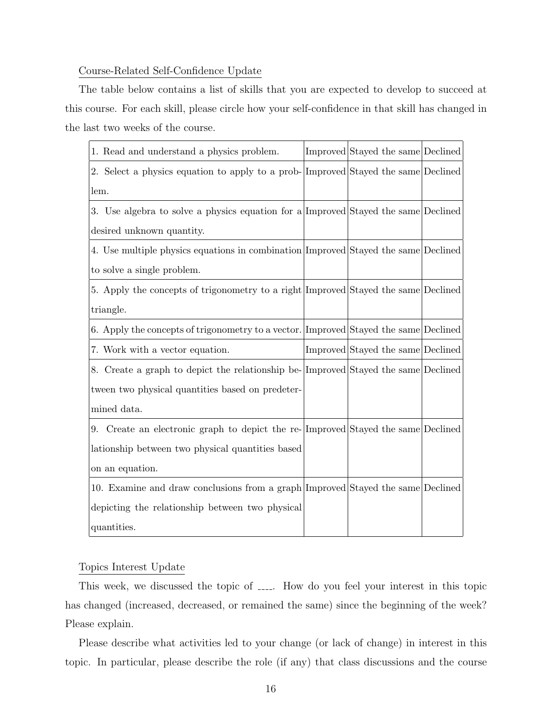#### Course-Related Self-Confidence Update

The table below contains a list of skills that you are expected to develop to succeed at this course. For each skill, please circle how your self-confidence in that skill has changed in the last two weeks of the course.

| 1. Read and understand a physics problem.                                            | Improved Stayed the same Declined |  |  |
|--------------------------------------------------------------------------------------|-----------------------------------|--|--|
| 2. Select a physics equation to apply to a prob-[Improved]Stayed the same Declined]  |                                   |  |  |
| lem.                                                                                 |                                   |  |  |
| 3. Use algebra to solve a physics equation for a Improved Stayed the same Declined   |                                   |  |  |
| desired unknown quantity.                                                            |                                   |  |  |
| 4. Use multiple physics equations in combination Improved Stayed the same Declined   |                                   |  |  |
| to solve a single problem.                                                           |                                   |  |  |
| 5. Apply the concepts of trigonometry to a right Improved Stayed the same Declined   |                                   |  |  |
| triangle.                                                                            |                                   |  |  |
| 6. Apply the concepts of trigonometry to a vector. Improved Stayed the same Declined |                                   |  |  |
| 7. Work with a vector equation.                                                      | Improved Stayed the same Declined |  |  |
| 8. Create a graph to depict the relationship be-[Improved]Stayed the same Declined]  |                                   |  |  |
| tween two physical quantities based on predeter-                                     |                                   |  |  |
| mined data.                                                                          |                                   |  |  |
| 9. Create an electronic graph to depict the re-Improved Stayed the same Declined     |                                   |  |  |
| lationship between two physical quantities based                                     |                                   |  |  |
| on an equation.                                                                      |                                   |  |  |
| 10. Examine and draw conclusions from a graph Improved Stayed the same Declined      |                                   |  |  |
| depicting the relationship between two physical                                      |                                   |  |  |
| quantities.                                                                          |                                   |  |  |

#### Topics Interest Update

This week, we discussed the topic of  $\Box$ . How do you feel your interest in this topic has changed (increased, decreased, or remained the same) since the beginning of the week? Please explain.

Please describe what activities led to your change (or lack of change) in interest in this topic. In particular, please describe the role (if any) that class discussions and the course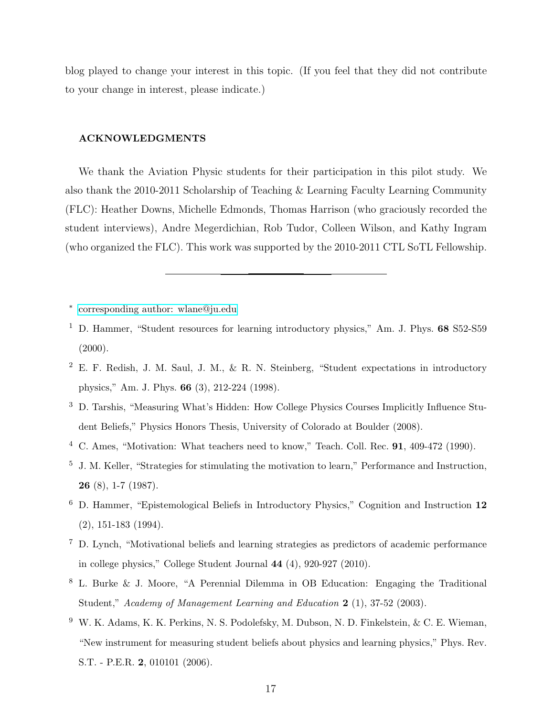blog played to change your interest in this topic. (If you feel that they did not contribute to your change in interest, please indicate.)

#### ACKNOWLEDGMENTS

We thank the Aviation Physic students for their participation in this pilot study. We also thank the 2010-2011 Scholarship of Teaching & Learning Faculty Learning Community (FLC): Heather Downs, Michelle Edmonds, Thomas Harrison (who graciously recorded the student interviews), Andre Megerdichian, Rob Tudor, Colleen Wilson, and Kathy Ingram (who organized the FLC). This work was supported by the 2010-2011 CTL SoTL Fellowship.

<span id="page-16-1"></span><span id="page-16-0"></span>∗ [corresponding author: wlane@ju.edu](mailto:corresponding author: wlane@ju.edu)

- <sup>1</sup> D. Hammer, "Student resources for learning introductory physics," Am. J. Phys. 68 S52-S59 (2000).
- <span id="page-16-2"></span><sup>2</sup> E. F. Redish, J. M. Saul, J. M., & R. N. Steinberg, "Student expectations in introductory physics," Am. J. Phys. 66 (3), 212-224 (1998).
- <span id="page-16-3"></span><sup>3</sup> D. Tarshis, "Measuring What's Hidden: How College Physics Courses Implicitly Influence Student Beliefs," Physics Honors Thesis, University of Colorado at Boulder (2008).
- <span id="page-16-4"></span><sup>4</sup> C. Ames, "Motivation: What teachers need to know," Teach. Coll. Rec. 91, 409-472 (1990).
- <span id="page-16-5"></span><sup>5</sup> J. M. Keller, "Strategies for stimulating the motivation to learn," Performance and Instruction, 26 (8), 1-7 (1987).
- <span id="page-16-6"></span><sup>6</sup> D. Hammer, "Epistemological Beliefs in Introductory Physics," Cognition and Instruction 12 (2), 151-183 (1994).
- <span id="page-16-7"></span><sup>7</sup> D. Lynch, "Motivational beliefs and learning strategies as predictors of academic performance in college physics," College Student Journal 44 (4), 920-927 (2010).
- <span id="page-16-8"></span><sup>8</sup> L. Burke & J. Moore, "A Perennial Dilemma in OB Education: Engaging the Traditional Student," Academy of Management Learning and Education 2 (1), 37-52 (2003).
- <span id="page-16-9"></span><sup>9</sup> W. K. Adams, K. K. Perkins, N. S. Podolefsky, M. Dubson, N. D. Finkelstein, & C. E. Wieman, "New instrument for measuring student beliefs about physics and learning physics," Phys. Rev. S.T. - P.E.R. 2, 010101 (2006).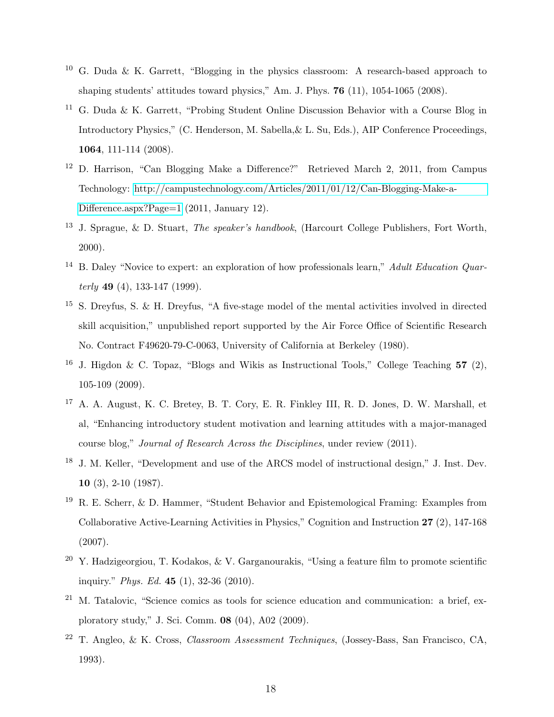- <span id="page-17-0"></span><sup>10</sup> G. Duda & K. Garrett, "Blogging in the physics classroom: A research-based approach to shaping students' attitudes toward physics," Am. J. Phys. 76 (11), 1054-1065 (2008).
- <span id="page-17-1"></span><sup>11</sup> G. Duda & K. Garrett, "Probing Student Online Discussion Behavior with a Course Blog in Introductory Physics," (C. Henderson, M. Sabella,& L. Su, Eds.), AIP Conference Proceedings, 1064, 111-114 (2008).
- <span id="page-17-2"></span><sup>12</sup> D. Harrison, "Can Blogging Make a Difference?" Retrieved March 2, 2011, from Campus Technology: [http://campustechnology.com/Articles/2011/01/12/Can-Blogging-Make-a-](http://campustechnology.com/Articles/2011/01/12/Can-Blogging-Make-a-Difference.aspx?Page=1)[Difference.aspx?Page=1](http://campustechnology.com/Articles/2011/01/12/Can-Blogging-Make-a-Difference.aspx?Page=1) (2011, January 12).
- <span id="page-17-3"></span><sup>13</sup> J. Sprague, & D. Stuart, *The speaker's handbook*, (Harcourt College Publishers, Fort Worth, 2000).
- <span id="page-17-4"></span><sup>14</sup> B. Daley "Novice to expert: an exploration of how professionals learn," Adult Education Quar $terly$  49 (4), 133-147 (1999).
- <span id="page-17-5"></span><sup>15</sup> S. Dreyfus, S. & H. Dreyfus, "A five-stage model of the mental activities involved in directed skill acquisition," unpublished report supported by the Air Force Office of Scientific Research No. Contract F49620-79-C-0063, University of California at Berkeley (1980).
- <span id="page-17-6"></span><sup>16</sup> J. Higdon & C. Topaz, "Blogs and Wikis as Instructional Tools," College Teaching 57 (2), 105-109 (2009).
- <span id="page-17-7"></span><sup>17</sup> A. A. August, K. C. Bretey, B. T. Cory, E. R. Finkley III, R. D. Jones, D. W. Marshall, et al, "Enhancing introductory student motivation and learning attitudes with a major-managed course blog," Journal of Research Across the Disciplines, under review (2011).
- <span id="page-17-8"></span><sup>18</sup> J. M. Keller, "Development and use of the ARCS model of instructional design," J. Inst. Dev. 10 (3), 2-10 (1987).
- <span id="page-17-9"></span><sup>19</sup> R. E. Scherr, & D. Hammer, "Student Behavior and Epistemological Framing: Examples from Collaborative Active-Learning Activities in Physics," Cognition and Instruction 27 (2), 147-168 (2007).
- <span id="page-17-10"></span><sup>20</sup> Y. Hadzigeorgiou, T. Kodakos, & V. Garganourakis, "Using a feature film to promote scientific inquiry." Phys. Ed. 45 (1), 32-36 (2010).
- <span id="page-17-11"></span> $21$  M. Tatalovic, "Science comics as tools for science education and communication: a brief, exploratory study," J. Sci. Comm. 08 (04), A02 (2009).
- <span id="page-17-12"></span><sup>22</sup> T. Angleo, & K. Cross, Classroom Assessment Techniques, (Jossey-Bass, San Francisco, CA, 1993).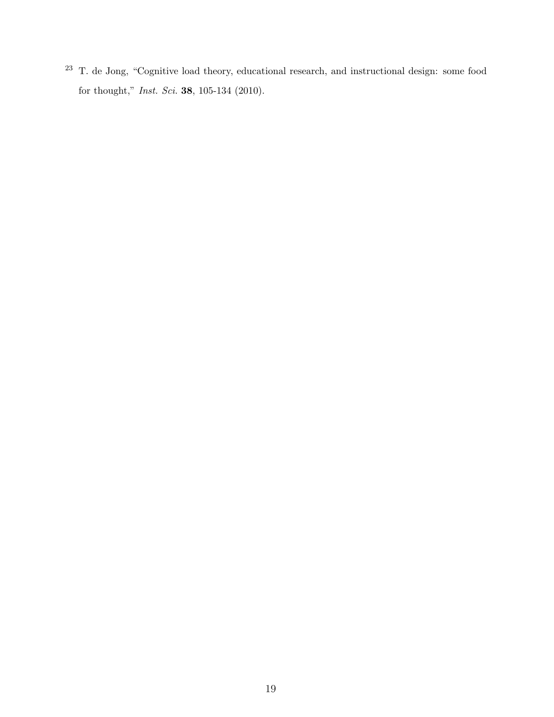<span id="page-18-0"></span> T. de Jong, "Cognitive load theory, educational research, and instructional design: some food for thought," Inst. Sci. 38, 105-134 (2010).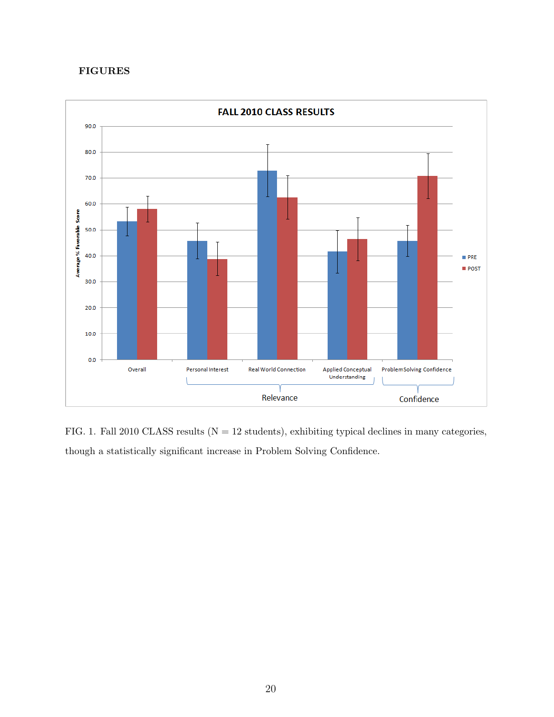## FIGURES



FIG. 1. Fall 2010 CLASS results ( $N = 12$  students), exhibiting typical declines in many categories, though a statistically significant increase in Problem Solving Confidence.